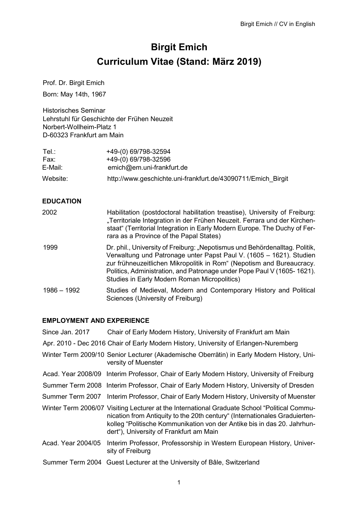# **Birgit Emich Curriculum Vitae (Stand: März 2019)**

Prof. Dr. Birgit Emich

Born: May 14th, 1967

Historisches Seminar Lehrstuhl für Geschichte der Frühen Neuzeit Norbert-Wollheim-Platz 1 D-60323 Frankfurt am Main

| Tel.∶    | +49-(0) 69/798-32594                                         |
|----------|--------------------------------------------------------------|
| Fax:     | +49-(0) 69/798-32596                                         |
| E-Mail:  | emich@em.uni-frankfurt.de                                    |
| Website: | http://www.geschichte.uni-frankfurt.de/43090711/Emich Birgit |

## **EDUCATION**

| 2002          | Habilitation (postdoctoral habilitation treastise), University of Freiburg:<br>"Territoriale Integration in der Frühen Neuzeit. Ferrara und der Kirchen-<br>staat" (Territorial Integration in Early Modern Europe. The Duchy of Fer-<br>rara as a Province of the Papal States)                                                                      |
|---------------|-------------------------------------------------------------------------------------------------------------------------------------------------------------------------------------------------------------------------------------------------------------------------------------------------------------------------------------------------------|
| 1999          | Dr. phil., University of Freiburg: "Nepotismus und Behördenalltag. Politik,<br>Verwaltung und Patronage unter Papst Paul V. (1605 – 1621). Studien<br>zur frühneuzeitlichen Mikropolitik in Rom" (Nepotism and Bureaucracy.<br>Politics, Administration, and Patronage under Pope Paul V (1605-1621).<br>Studies in Early Modern Roman Micropolitics) |
| $1986 - 1992$ | Studies of Medieval, Modern and Contemporary History and Political<br>Sciences (University of Freiburg)                                                                                                                                                                                                                                               |

#### **EMPLOYMENT AND EXPERIENCE**

| Since Jan. 2017    | Chair of Early Modern History, University of Frankfurt am Main                                                                                                                                                                                                                                   |
|--------------------|--------------------------------------------------------------------------------------------------------------------------------------------------------------------------------------------------------------------------------------------------------------------------------------------------|
|                    | Apr. 2010 - Dec 2016 Chair of Early Modern History, University of Erlangen-Nuremberg                                                                                                                                                                                                             |
|                    | Winter Term 2009/10 Senior Lecturer (Akademische Oberrätin) in Early Modern History, Uni-<br>versity of Muenster                                                                                                                                                                                 |
|                    | Acad. Year 2008/09 Interim Professor, Chair of Early Modern History, University of Freiburg                                                                                                                                                                                                      |
|                    | Summer Term 2008 Interim Professor, Chair of Early Modern History, University of Dresden                                                                                                                                                                                                         |
|                    | Summer Term 2007 Interim Professor, Chair of Early Modern History, University of Muenster                                                                                                                                                                                                        |
|                    | Winter Term 2006/07 Visiting Lecturer at the International Graduate School "Political Commu-<br>nication from Antiquity to the 20th century" (Internationales Graduierten-<br>kolleg "Politische Kommunikation von der Antike bis in das 20. Jahrhun-<br>dert"), University of Frankfurt am Main |
| Acad. Year 2004/05 | Interim Professor, Professorship in Western European History, Univer-<br>sity of Freiburg                                                                                                                                                                                                        |
|                    | Summer Term 2004 Guest Lecturer at the University of Bâle, Switzerland                                                                                                                                                                                                                           |
|                    |                                                                                                                                                                                                                                                                                                  |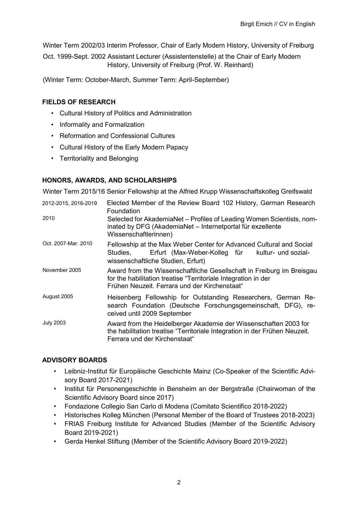Winter Term 2002/03 Interim Professor, Chair of Early Modern History, University of Freiburg

Oct. 1999-Sept. 2002 Assistant Lecturer (Assistentenstelle) at the Chair of Early Modern History, University of Freiburg (Prof. W. Reinhard)

(Winter Term: October-March, Summer Term: April-September)

# **FIELDS OF RESEARCH**

- Cultural History of Politics and Administration
- Informality and Formalization
- Reformation and Confessional Cultures
- Cultural History of the Early Modern Papacy
- Territoriality and Belonging

# **HONORS, AWARDS, AND SCHOLARSHIPS**

Winter Term 2015/16 Senior Fellowship at the Alfried Krupp Wissenschaftskolleg Greifswald

| 2012-2015, 2016-2019 | Elected Member of the Review Board 102 History, German Research<br>Foundation                                                                                                            |
|----------------------|------------------------------------------------------------------------------------------------------------------------------------------------------------------------------------------|
| 2010                 | Selected for AkademiaNet – Profiles of Leading Women Scientists, nom-<br>inated by DFG (AkademiaNet - Internetportal für exzellente<br>Wissenschaftlerinnen)                             |
| Oct. 2007-Mar. 2010  | Fellowship at the Max Weber Center for Advanced Cultural and Social<br>Erfurt (Max-Weber-Kolleg für kultur- und sozial-<br>Studies,<br>wissenschaftliche Studien, Erfurt)                |
| November 2005        | Award from the Wissenschaftliche Gesellschaft in Freiburg im Breisgau<br>for the habilitation treatise "Territoriale Integration in der<br>Frühen Neuzeit. Ferrara und der Kirchenstaat" |
| August 2005          | Heisenberg Fellowship for Outstanding Researchers, German Re-<br>search Foundation (Deutsche Forschungsgemeinschaft, DFG), re-<br>ceived until 2009 September                            |
| <b>July 2003</b>     | Award from the Heidelberger Akademie der Wissenschaften 2003 for<br>the habilitation treatise "Territoriale Integration in der Frühen Neuzeit.<br>Ferrara und der Kirchenstaat"          |

## **ADVISORY BOARDS**

- Leibniz-Institut für Europäische Geschichte Mainz (Co-Speaker of the Scientific Advisory Board 2017-2021)
- Institut für Personengeschichte in Bensheim an der Bergstraße (Chairwoman of the Scientific Advisory Board since 2017)
- Fondazione Collegio San Carlo di Modena (Comitato Scientifico 2018-2022)
- Historisches Kolleg München (Personal Member of the Board of Trustees 2018-2023)
- FRIAS Freiburg Institute for Advanced Studies (Member of the Scientific Advisory Board 2019-2021)
- Gerda Henkel Stiftung (Member of the Scientific Advisory Board 2019-2022)